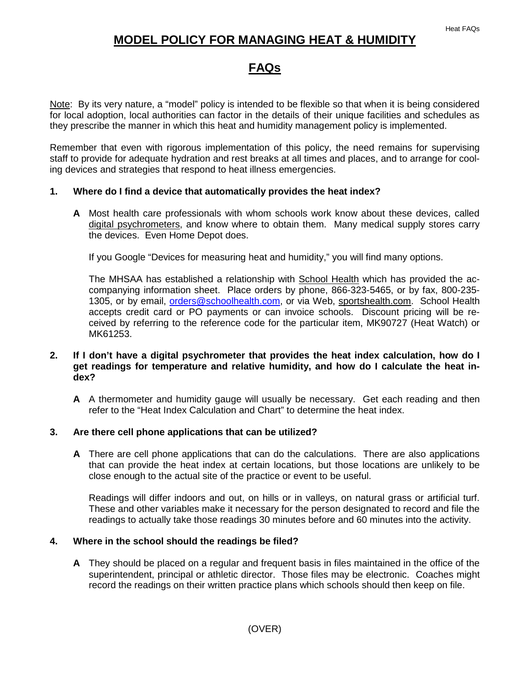## **MODEL POLICY FOR MANAGING HEAT & HUMIDITY**

## **FAQs**

Note: By its very nature, a "model" policy is intended to be flexible so that when it is being considered for local adoption, local authorities can factor in the details of their unique facilities and schedules as they prescribe the manner in which this heat and humidity management policy is implemented.

Remember that even with rigorous implementation of this policy, the need remains for supervising staff to provide for adequate hydration and rest breaks at all times and places, and to arrange for cooling devices and strategies that respond to heat illness emergencies.

### **1. Where do I find a device that automatically provides the heat index?**

**A** Most health care professionals with whom schools work know about these devices, called digital psychrometers, and know where to obtain them. Many medical supply stores carry the devices. Even Home Depot does.

If you Google "Devices for measuring heat and humidity," you will find many options.

The MHSAA has established a relationship with School Health which has provided the accompanying information sheet. Place orders by phone, 866-323-5465, or by fax, 800-235- 1305, or by email, [orders@schoolhealth.com,](mailto:orders@schoolhealth.com) or via Web, sportshealth.com. School Health accepts credit card or PO payments or can invoice schools. Discount pricing will be received by referring to the reference code for the particular item, MK90727 (Heat Watch) or MK61253.

#### **2. If I don't have a digital psychrometer that provides the heat index calculation, how do I get readings for temperature and relative humidity, and how do I calculate the heat index?**

**A** A thermometer and humidity gauge will usually be necessary. Get each reading and then refer to the "Heat Index Calculation and Chart" to determine the heat index.

#### **3. Are there cell phone applications that can be utilized?**

**A** There are cell phone applications that can do the calculations. There are also applications that can provide the heat index at certain locations, but those locations are unlikely to be close enough to the actual site of the practice or event to be useful.

Readings will differ indoors and out, on hills or in valleys, on natural grass or artificial turf. These and other variables make it necessary for the person designated to record and file the readings to actually take those readings 30 minutes before and 60 minutes into the activity.

#### **4. Where in the school should the readings be filed?**

**A** They should be placed on a regular and frequent basis in files maintained in the office of the superintendent, principal or athletic director. Those files may be electronic. Coaches might record the readings on their written practice plans which schools should then keep on file.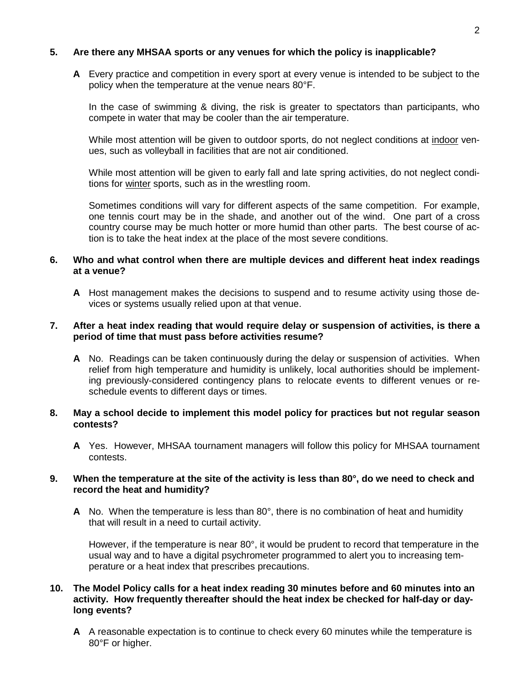### **5. Are there any MHSAA sports or any venues for which the policy is inapplicable?**

**A** Every practice and competition in every sport at every venue is intended to be subject to the policy when the temperature at the venue nears 80°F.

In the case of swimming & diving, the risk is greater to spectators than participants, who compete in water that may be cooler than the air temperature.

While most attention will be given to outdoor sports, do not neglect conditions at indoor venues, such as volleyball in facilities that are not air conditioned.

While most attention will be given to early fall and late spring activities, do not neglect conditions for winter sports, such as in the wrestling room.

Sometimes conditions will vary for different aspects of the same competition. For example, one tennis court may be in the shade, and another out of the wind. One part of a cross country course may be much hotter or more humid than other parts. The best course of action is to take the heat index at the place of the most severe conditions.

#### **6. Who and what control when there are multiple devices and different heat index readings at a venue?**

**A** Host management makes the decisions to suspend and to resume activity using those devices or systems usually relied upon at that venue.

#### **7. After a heat index reading that would require delay or suspension of activities, is there a period of time that must pass before activities resume?**

**A** No. Readings can be taken continuously during the delay or suspension of activities. When relief from high temperature and humidity is unlikely, local authorities should be implementing previously-considered contingency plans to relocate events to different venues or reschedule events to different days or times.

#### **8. May a school decide to implement this model policy for practices but not regular season contests?**

**A** Yes. However, MHSAA tournament managers will follow this policy for MHSAA tournament contests.

#### **9. When the temperature at the site of the activity is less than 80°, do we need to check and record the heat and humidity?**

**A** No. When the temperature is less than 80°, there is no combination of heat and humidity that will result in a need to curtail activity.

However, if the temperature is near 80°, it would be prudent to record that temperature in the usual way and to have a digital psychrometer programmed to alert you to increasing temperature or a heat index that prescribes precautions.

#### **10. The Model Policy calls for a heat index reading 30 minutes before and 60 minutes into an activity. How frequently thereafter should the heat index be checked for half-day or daylong events?**

**A** A reasonable expectation is to continue to check every 60 minutes while the temperature is 80°F or higher.